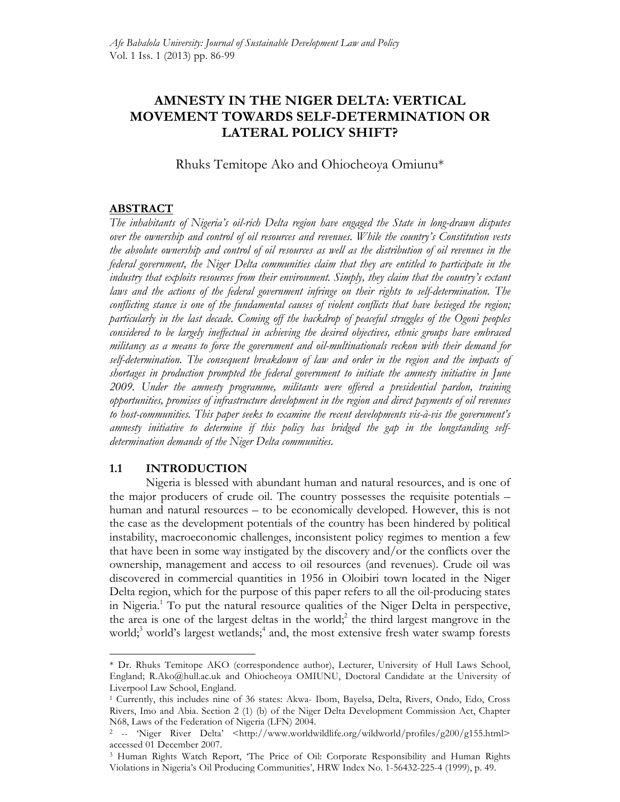# **AMNESTY IN THE NIGER DELTA: VERTICAL MOVEMENT TOWARDS SELF-DETERMINATION OR LATERAL POLICY SHIFT?**

Rhuks Temitope Ako and Ohiocheoya Omiunu\*

## **ABSTRACT**

*The inhabitants of Nigeria's oil-rich Delta region have engaged the State in long-drawn disputes over the ownership and control of oil resources and revenues. While the country's Constitution vests the absolute ownership and control of oil resources as well as the distribution of oil revenues in the federal government, the Niger Delta communities claim that they are entitled to participate in the industry that exploits resources from their environment. Simply, they claim that the country's extant*  laws and the actions of the federal government infringe on their rights to self-determination. The *conflicting stance is one of the fundamental causes of violent conflicts that have besieged the region; particularly in the last decade. Coming off the backdrop of peaceful struggles of the Ogoni peoples considered to be largely ineffectual in achieving the desired objectives, ethnic groups have embraced militancy as a means to force the government and oil-multinationals reckon with their demand for self-determination. The consequent breakdown of law and order in the region and the impacts of shortages in production prompted the federal government to initiate the amnesty initiative in June 2009. Under the amnesty programme, militants were offered a presidential pardon, training opportunities, promises of infrastructure development in the region and direct payments of oil revenues to host-communities. This paper seeks to examine the recent developments vis-à-vis the government's amnesty initiative to determine if this policy has bridged the gap in the longstanding selfdetermination demands of the Niger Delta communities.*

## **1.1 INTRODUCTION**

 $\overline{a}$ 

Nigeria is blessed with abundant human and natural resources, and is one of the major producers of crude oil. The country possesses the requisite potentials – human and natural resources – to be economically developed. However, this is not the case as the development potentials of the country has been hindered by political instability, macroeconomic challenges, inconsistent policy regimes to mention a few that have been in some way instigated by the discovery and/or the conflicts over the ownership, management and access to oil resources (and revenues). Crude oil was discovered in commercial quantities in 1956 in Oloibiri town located in the Niger Delta region, which for the purpose of this paper refers to all the oil-producing states in Nigeria.1 To put the natural resource qualities of the Niger Delta in perspective, the area is one of the largest deltas in the world;<sup>2</sup> the third largest mangrove in the world;<sup>3</sup> world's largest wetlands;<sup>4</sup> and, the most extensive fresh water swamp forests

<sup>\*</sup> Dr. Rhuks Temitope AKO (correspondence author), Lecturer, University of Hull Laws School, England; R.Ako@hull.ac.uk and Ohiocheoya OMIUNU, Doctoral Candidate at the University of Liverpool Law School, England.

<sup>1</sup> Currently, this includes nine of 36 states: Akwa- Ibom, Bayelsa, Delta, Rivers, Ondo, Edo, Cross Rivers, Imo and Abia. Section 2 (1) (b) of the Niger Delta Development Commission Act, Chapter N68, Laws of the Federation of Nigeria (LFN) 2004.<br>
<sup>2</sup> -- 'Niger River Delta' <http://www.worldwildlife.org/wildworld/profiles/g200/g155.html>

accessed 01 December 2007.

<sup>3</sup> Human Rights Watch Report, 'The Price of Oil: Corporate Responsibility and Human Rights Violations in Nigeria's Oil Producing Communities', HRW Index No. 1-56432-225-4 (1999), p. 49.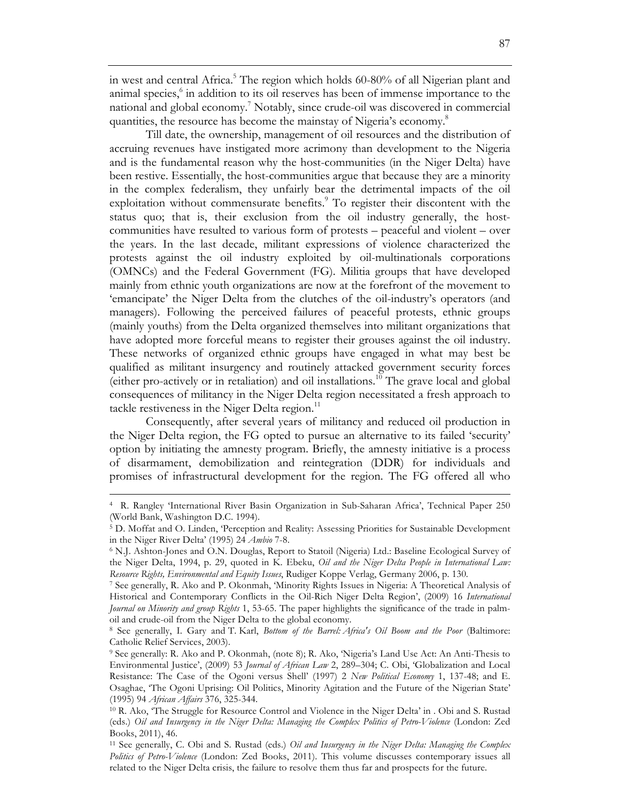in west and central Africa.<sup>5</sup> The region which holds 60-80% of all Nigerian plant and animal species, <sup>6</sup> in addition to its oil reserves has been of immense importance to the national and global economy.<sup>7</sup> Notably, since crude-oil was discovered in commercial quantities, the resource has become the mainstay of Nigeria's economy.<sup>8</sup>

Till date, the ownership, management of oil resources and the distribution of accruing revenues have instigated more acrimony than development to the Nigeria and is the fundamental reason why the host-communities (in the Niger Delta) have been restive. Essentially, the host-communities argue that because they are a minority in the complex federalism, they unfairly bear the detrimental impacts of the oil exploitation without commensurate benefits.<sup>9</sup> To register their discontent with the status quo; that is, their exclusion from the oil industry generally, the hostcommunities have resulted to various form of protests – peaceful and violent – over the years. In the last decade, militant expressions of violence characterized the protests against the oil industry exploited by oil-multinationals corporations (OMNCs) and the Federal Government (FG). Militia groups that have developed mainly from ethnic youth organizations are now at the forefront of the movement to 'emancipate' the Niger Delta from the clutches of the oil-industry's operators (and managers). Following the perceived failures of peaceful protests, ethnic groups (mainly youths) from the Delta organized themselves into militant organizations that have adopted more forceful means to register their grouses against the oil industry. These networks of organized ethnic groups have engaged in what may best be qualified as militant insurgency and routinely attacked government security forces (either pro-actively or in retaliation) and oil installations.10 The grave local and global consequences of militancy in the Niger Delta region necessitated a fresh approach to tackle restiveness in the Niger Delta region. $^{11}$ 

Consequently, after several years of militancy and reduced oil production in the Niger Delta region, the FG opted to pursue an alternative to its failed 'security' option by initiating the amnesty program. Briefly, the amnesty initiative is a process of disarmament, demobilization and reintegration (DDR) for individuals and promises of infrastructural development for the region. The FG offered all who

<sup>4</sup> R. Rangley 'International River Basin Organization in Sub-Saharan Africa', Technical Paper 250 (World Bank, Washington D.C. 1994).

<sup>5</sup> D. Moffat and O. Linden, 'Perception and Reality: Assessing Priorities for Sustainable Development in the Niger River Delta' (1995) 24 *Ambio* 7-8.<br><sup>6</sup> N.J. Ashton-Jones and O.N. Douglas, Report to Statoil (Nigeria) Ltd.: Baseline Ecological Survey of

the Niger Delta, 1994, p. 29, quoted in K. Ebeku, *Oil and the Niger Delta People in International Law: Resource Rights, Environmental and Equity Issues*, Rudiger Koppe Verlag, Germany 2006, p. 130*.*

<sup>7</sup> See generally, R. Ako and P. Okonmah, 'Minority Rights Issues in Nigeria: A Theoretical Analysis of Historical and Contemporary Conflicts in the Oil-Rich Niger Delta Region', (2009) 16 *International Journal on Minority and group Rights* 1, 53-65. The paper highlights the significance of the trade in palmoil and crude-oil from the Niger Delta to the global economy. 8 See generally, I. Gary and T. Karl, *Bottom of the Barrel: Africa's Oil Boom and the Poor* (Baltimore:

Catholic Relief Services, 2003).

<sup>9</sup> See generally: R. Ako and P. Okonmah, (note 8); R. Ako, 'Nigeria's Land Use Act: An Anti-Thesis to Environmental Justice', (2009) 53 *Journal of African Law* 2, 289–304; C. Obi, 'Globalization and Local Resistance: The Case of the Ogoni versus Shell' (1997) 2 *New Political Economy* 1, 137-48; and E. Osaghae, 'The Ogoni Uprising: Oil Politics, Minority Agitation and the Future of the Nigerian State' (1995) 94 *African Affairs* 376, 325-344.

<sup>10</sup> R. Ako, 'The Struggle for Resource Control and Violence in the Niger Delta' in . Obi and S. Rustad (eds.) *Oil and Insurgency in the Niger Delta: Managing the Complex Politics of Petro-Violence* (London: Zed Books, 2011), 46.

<sup>11</sup> See generally, C. Obi and S. Rustad (eds.) *Oil and Insurgency in the Niger Delta: Managing the Complex Politics of Petro-Violence* (London: Zed Books, 2011). This volume discusses contemporary issues all related to the Niger Delta crisis, the failure to resolve them thus far and prospects for the future.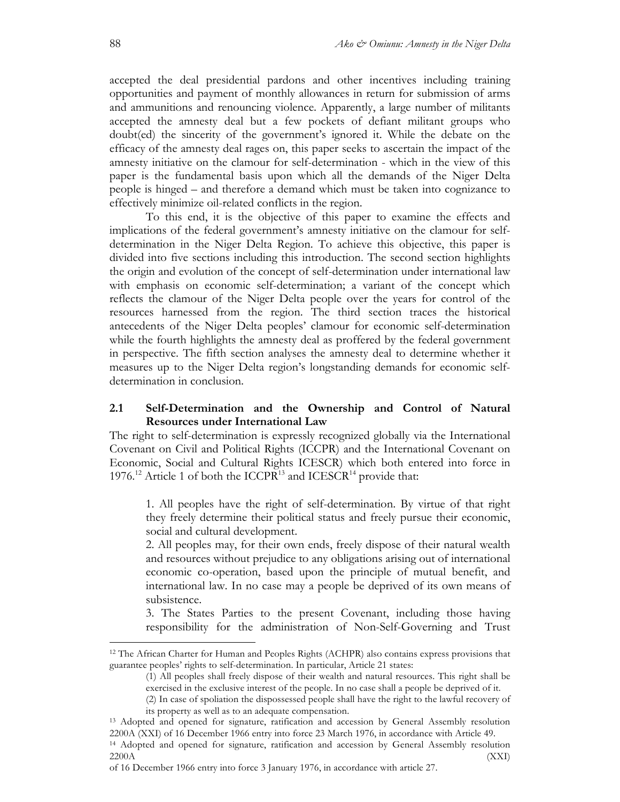accepted the deal presidential pardons and other incentives including training opportunities and payment of monthly allowances in return for submission of arms and ammunitions and renouncing violence. Apparently, a large number of militants accepted the amnesty deal but a few pockets of defiant militant groups who doubt(ed) the sincerity of the government's ignored it. While the debate on the efficacy of the amnesty deal rages on, this paper seeks to ascertain the impact of the amnesty initiative on the clamour for self-determination - which in the view of this paper is the fundamental basis upon which all the demands of the Niger Delta people is hinged – and therefore a demand which must be taken into cognizance to effectively minimize oil-related conflicts in the region.

To this end, it is the objective of this paper to examine the effects and implications of the federal government's amnesty initiative on the clamour for selfdetermination in the Niger Delta Region. To achieve this objective, this paper is divided into five sections including this introduction. The second section highlights the origin and evolution of the concept of self-determination under international law with emphasis on economic self-determination; a variant of the concept which reflects the clamour of the Niger Delta people over the years for control of the resources harnessed from the region. The third section traces the historical antecedents of the Niger Delta peoples' clamour for economic self-determination while the fourth highlights the amnesty deal as proffered by the federal government in perspective. The fifth section analyses the amnesty deal to determine whether it measures up to the Niger Delta region's longstanding demands for economic selfdetermination in conclusion.

### **2.1 Self-Determination and the Ownership and Control of Natural Resources under International Law**

The right to self-determination is expressly recognized globally via the International Covenant on Civil and Political Rights (ICCPR) and the International Covenant on Economic, Social and Cultural Rights ICESCR) which both entered into force in 1976.<sup>12</sup> Article 1 of both the ICCPR<sup>13</sup> and ICESCR<sup>14</sup> provide that:

1. All peoples have the right of self-determination. By virtue of that right they freely determine their political status and freely pursue their economic, social and cultural development.

2. All peoples may, for their own ends, freely dispose of their natural wealth and resources without prejudice to any obligations arising out of international economic co-operation, based upon the principle of mutual benefit, and international law. In no case may a people be deprived of its own means of subsistence.

3. The States Parties to the present Covenant, including those having responsibility for the administration of Non-Self-Governing and Trust

<sup>12</sup> The African Charter for Human and Peoples Rights (ACHPR) also contains express provisions that guarantee peoples' rights to self-determination. In particular, Article 21 states:

<sup>(1)</sup> All peoples shall freely dispose of their wealth and natural resources. This right shall be exercised in the exclusive interest of the people. In no case shall a people be deprived of it.

<sup>(2)</sup> In case of spoliation the dispossessed people shall have the right to the lawful recovery of its property as well as to an adequate compensation.

<sup>13</sup> Adopted and opened for signature, ratification and accession by General Assembly resolution 2200A (XXI) of 16 December 1966 entry into force 23 March 1976, in accordance with Article 49.

<sup>14</sup> Adopted and opened for signature, ratification and accession by General Assembly resolution  $(XXI)$ 

of 16 December 1966 entry into force 3 January 1976, in accordance with article 27.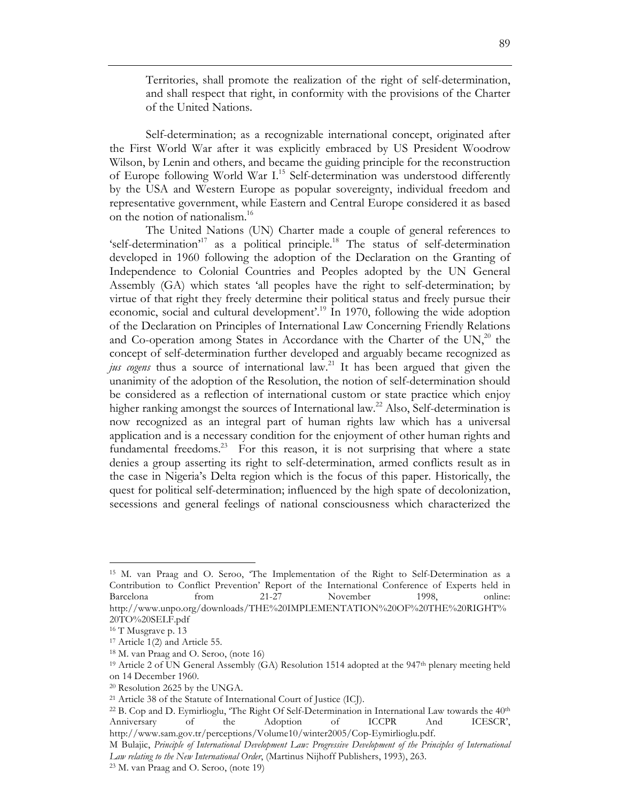Territories, shall promote the realization of the right of self-determination, and shall respect that right, in conformity with the provisions of the Charter of the United Nations.

Self-determination; as a recognizable international concept, originated after the First World War after it was explicitly embraced by US President Woodrow Wilson, by Lenin and others, and became the guiding principle for the reconstruction of Europe following World War I.<sup>15</sup> Self-determination was understood differently by the USA and Western Europe as popular sovereignty, individual freedom and representative government, while Eastern and Central Europe considered it as based on the notion of nationalism.<sup>16</sup>

The United Nations (UN) Charter made a couple of general references to 'self-determination'<sup>17</sup> as a political principle.<sup>18</sup> The status of self-determination developed in 1960 following the adoption of the Declaration on the Granting of Independence to Colonial Countries and Peoples adopted by the UN General Assembly (GA) which states 'all peoples have the right to self-determination; by virtue of that right they freely determine their political status and freely pursue their economic, social and cultural development'.19 In 1970, following the wide adoption of the Declaration on Principles of International Law Concerning Friendly Relations and Co-operation among States in Accordance with the Charter of the  $UN<sub>2</sub><sup>20</sup>$  the concept of self-determination further developed and arguably became recognized as *jus cogens* thus a source of international law.<sup>21</sup> It has been argued that given the unanimity of the adoption of the Resolution, the notion of self-determination should be considered as a reflection of international custom or state practice which enjoy higher ranking amongst the sources of International law.<sup>22</sup> Also, Self-determination is now recognized as an integral part of human rights law which has a universal application and is a necessary condition for the enjoyment of other human rights and fundamental freedoms.<sup>23</sup> For this reason, it is not surprising that where a state denies a group asserting its right to self-determination, armed conflicts result as in the case in Nigeria's Delta region which is the focus of this paper. Historically, the quest for political self-determination; influenced by the high spate of decolonization, secessions and general feelings of national consciousness which characterized the

<sup>15</sup> M. van Praag and O. Seroo, 'The Implementation of the Right to Self-Determination as a Contribution to Conflict Prevention' Report of the International Conference of Experts held in Barcelona from 21-27 November 1998, online: http://www.unpo.org/downloads/THE%20IMPLEMENTATION%20OF%20THE%20RIGHT% 20TO%20SELF.pdf

<sup>&</sup>lt;sup>16</sup> T Musgrave p. 13

<sup>17</sup> Article 1(2) and Article 55.

<sup>18</sup> M. van Praag and O. Seroo, (note 16)

<sup>&</sup>lt;sup>19</sup> Article 2 of UN General Assembly (GA) Resolution 1514 adopted at the 947<sup>th</sup> plenary meeting held on 14 December 1960.

<sup>20</sup> Resolution 2625 by the UNGA.

<sup>21</sup> Article 38 of the Statute of International Court of Justice (ICJ).

 $22$  B. Cop and D. Eymirlioglu, 'The Right Of Self-Determination in International Law towards the  $40<sup>th</sup>$ Anniversary of the Adoption of ICCPR And ICESCR', http://www.sam.gov.tr/perceptions/Volume10/winter2005/Cop-Eymirlioglu.pdf.

M Bulajic, *Principle of International Development Law: Progressive Development of the Principles of International Law relating to the New International Order*, (Martinus Nijhoff Publishers, 1993), 263.

<sup>23</sup> M. van Praag and O. Seroo, (note 19)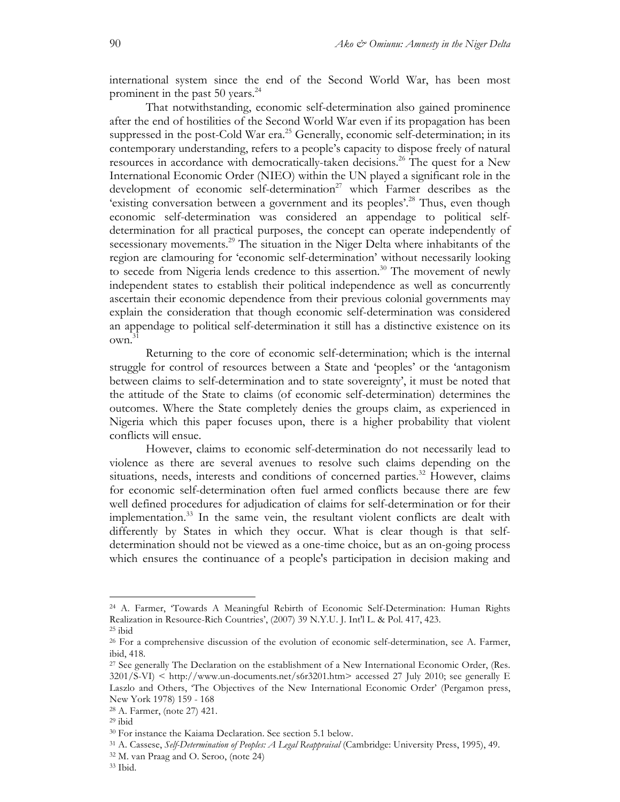international system since the end of the Second World War, has been most prominent in the past 50 years.<sup>24</sup>

That notwithstanding, economic self-determination also gained prominence after the end of hostilities of the Second World War even if its propagation has been suppressed in the post-Cold War era.<sup>25</sup> Generally, economic self-determination; in its contemporary understanding, refers to a people's capacity to dispose freely of natural resources in accordance with democratically-taken decisions. <sup>26</sup> The quest for a New International Economic Order (NIEO) within the UN played a significant role in the development of economic self-determination<sup>27</sup> which Farmer describes as the 'existing conversation between a government and its peoples'.<sup>28</sup> Thus, even though economic self-determination was considered an appendage to political selfdetermination for all practical purposes, the concept can operate independently of secessionary movements.<sup>29</sup> The situation in the Niger Delta where inhabitants of the region are clamouring for 'economic self-determination' without necessarily looking to secede from Nigeria lends credence to this assertion.<sup>30</sup> The movement of newly independent states to establish their political independence as well as concurrently ascertain their economic dependence from their previous colonial governments may explain the consideration that though economic self-determination was considered an appendage to political self-determination it still has a distinctive existence on its own. 31

Returning to the core of economic self-determination; which is the internal struggle for control of resources between a State and 'peoples' or the 'antagonism between claims to self-determination and to state sovereignty', it must be noted that the attitude of the State to claims (of economic self-determination) determines the outcomes. Where the State completely denies the groups claim, as experienced in Nigeria which this paper focuses upon, there is a higher probability that violent conflicts will ensue.

However, claims to economic self-determination do not necessarily lead to violence as there are several avenues to resolve such claims depending on the situations, needs, interests and conditions of concerned parties.<sup>32</sup> However, claims for economic self-determination often fuel armed conflicts because there are few well defined procedures for adjudication of claims for self-determination or for their implementation.<sup>33</sup> In the same vein, the resultant violent conflicts are dealt with differently by States in which they occur. What is clear though is that selfdetermination should not be viewed as a one-time choice, but as an on-going process which ensures the continuance of a people's participation in decision making and

<sup>24</sup> A. Farmer, 'Towards A Meaningful Rebirth of Economic Self-Determination: Human Rights Realization in Resource-Rich Countries', (2007) 39 N.Y.U. J. Int'l L. & Pol. 417, 423. <sup>25</sup> ibid

<sup>26</sup> For a comprehensive discussion of the evolution of economic self-determination, see A. Farmer, ibid, 418.<br><sup>27</sup> See generally The Declaration on the establishment of a New International Economic Order, (Res.

 $3201/S-VI$ ) < http://www.un-documents.net/s6r3201.htm> accessed 27 July 2010; see generally E Laszlo and Others, 'The Objectives of the New International Economic Order' (Pergamon press, New York 1978) 159 - 168

<sup>&</sup>lt;sup>28</sup> A. Farmer, (note 27) 421.<br><sup>29</sup> ibid

<sup>30</sup> For instance the Kaiama Declaration. See section 5.1 below.

<sup>31</sup> A. Cassese, *Self-Determination of Peoples: A Legal Reappraisal* (Cambridge: University Press, 1995), 49.

<sup>32</sup> M. van Praag and O. Seroo, (note 24)

<sup>33</sup> Ibid.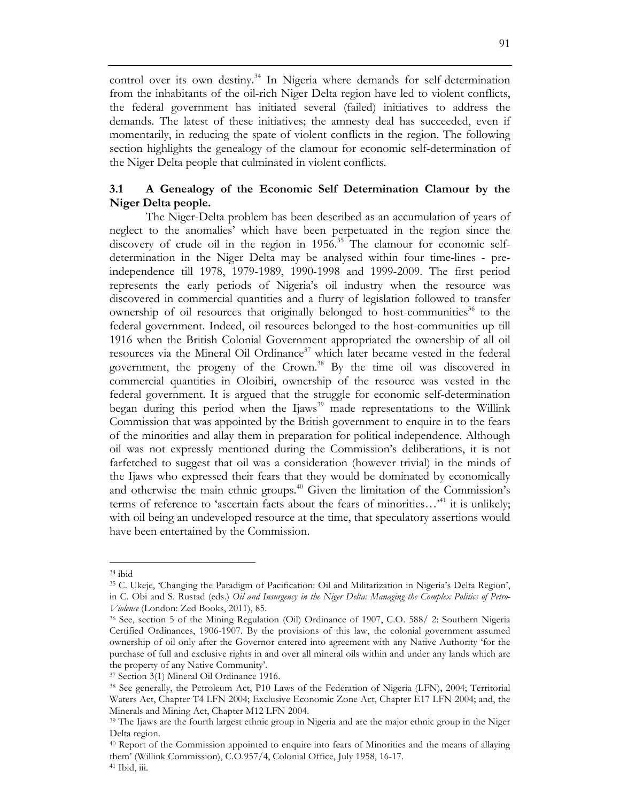control over its own destiny.<sup>34</sup> In Nigeria where demands for self-determination from the inhabitants of the oil-rich Niger Delta region have led to violent conflicts, the federal government has initiated several (failed) initiatives to address the demands. The latest of these initiatives; the amnesty deal has succeeded, even if momentarily, in reducing the spate of violent conflicts in the region. The following section highlights the genealogy of the clamour for economic self-determination of the Niger Delta people that culminated in violent conflicts.

## **3.1 A Genealogy of the Economic Self Determination Clamour by the Niger Delta people.**

The Niger-Delta problem has been described as an accumulation of years of neglect to the anomalies' which have been perpetuated in the region since the discovery of crude oil in the region in  $1956<sup>35</sup>$  The clamour for economic selfdetermination in the Niger Delta may be analysed within four time-lines - preindependence till 1978, 1979-1989, 1990-1998 and 1999-2009. The first period represents the early periods of Nigeria's oil industry when the resource was discovered in commercial quantities and a flurry of legislation followed to transfer ownership of oil resources that originally belonged to host-communities<sup>36</sup> to the federal government. Indeed, oil resources belonged to the host-communities up till 1916 when the British Colonial Government appropriated the ownership of all oil resources via the Mineral Oil Ordinance<sup>37</sup> which later became vested in the federal government, the progeny of the Crown.<sup>38</sup> By the time oil was discovered in commercial quantities in Oloibiri, ownership of the resource was vested in the federal government. It is argued that the struggle for economic self-determination began during this period when the  $Ijaws<sup>39</sup>$  made representations to the Willink Commission that was appointed by the British government to enquire in to the fears of the minorities and allay them in preparation for political independence. Although oil was not expressly mentioned during the Commission's deliberations, it is not farfetched to suggest that oil was a consideration (however trivial) in the minds of the Ijaws who expressed their fears that they would be dominated by economically and otherwise the main ethnic groups.<sup> $40$ </sup> Given the limitation of the Commission's terms of reference to 'ascertain facts about the fears of minorities... $^{41}$  it is unlikely; with oil being an undeveloped resource at the time, that speculatory assertions would have been entertained by the Commission.

<sup>34</sup> ibid

<sup>35</sup> C. Ukeje, 'Changing the Paradigm of Pacification: Oil and Militarization in Nigeria's Delta Region', in C. Obi and S. Rustad (eds.) *Oil and Insurgency in the Niger Delta: Managing the Complex Politics of Petro-Violence* (London: Zed Books, 2011), 85.

<sup>36</sup> See, section 5 of the Mining Regulation (Oil) Ordinance of 1907, C.O. 588/ 2: Southern Nigeria Certified Ordinances, 1906-1907. By the provisions of this law, the colonial government assumed ownership of oil only after the Governor entered into agreement with any Native Authority 'for the purchase of full and exclusive rights in and over all mineral oils within and under any lands which are the property of any Native Community'.

<sup>37</sup> Section 3(1) Mineral Oil Ordinance 1916.

<sup>38</sup> See generally, the Petroleum Act, P10 Laws of the Federation of Nigeria (LFN), 2004; Territorial Waters Act, Chapter T4 LFN 2004; Exclusive Economic Zone Act, Chapter E17 LFN 2004; and, the Minerals and Mining Act, Chapter M12 LFN 2004.

<sup>&</sup>lt;sup>39</sup> The Ijaws are the fourth largest ethnic group in Nigeria and are the major ethnic group in the Niger Delta region.

<sup>40</sup> Report of the Commission appointed to enquire into fears of Minorities and the means of allaying them' (Willink Commission), C.O.957/4, Colonial Office, July 1958, 16-17. <sup>41</sup> Ibid, iii.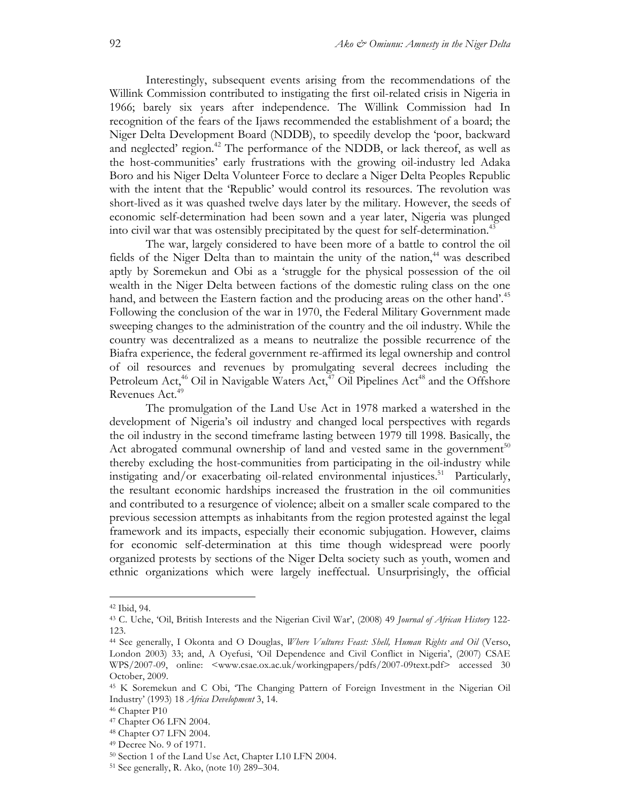Interestingly, subsequent events arising from the recommendations of the Willink Commission contributed to instigating the first oil-related crisis in Nigeria in 1966; barely six years after independence. The Willink Commission had In recognition of the fears of the Ijaws recommended the establishment of a board; the Niger Delta Development Board (NDDB), to speedily develop the 'poor, backward and neglected' region.<sup>42</sup> The performance of the NDDB, or lack thereof, as well as the host-communities' early frustrations with the growing oil-industry led Adaka Boro and his Niger Delta Volunteer Force to declare a Niger Delta Peoples Republic with the intent that the 'Republic' would control its resources. The revolution was short-lived as it was quashed twelve days later by the military. However, the seeds of economic self-determination had been sown and a year later, Nigeria was plunged into civil war that was ostensibly precipitated by the quest for self-determination.<sup>43</sup>

The war, largely considered to have been more of a battle to control the oil fields of the Niger Delta than to maintain the unity of the nation, $44$  was described aptly by Soremekun and Obi as a 'struggle for the physical possession of the oil wealth in the Niger Delta between factions of the domestic ruling class on the one hand, and between the Eastern faction and the producing areas on the other hand'.<sup>45</sup> Following the conclusion of the war in 1970, the Federal Military Government made sweeping changes to the administration of the country and the oil industry. While the country was decentralized as a means to neutralize the possible recurrence of the Biafra experience, the federal government re-affirmed its legal ownership and control of oil resources and revenues by promulgating several decrees including the Petroleum Act,<sup>46</sup> Oil in Navigable Waters Act,<sup>47</sup> Oil Pipelines Act<sup>48</sup> and the Offshore Revenues Act.<sup>49</sup>

The promulgation of the Land Use Act in 1978 marked a watershed in the development of Nigeria's oil industry and changed local perspectives with regards the oil industry in the second timeframe lasting between 1979 till 1998. Basically, the Act abrogated communal ownership of land and vested same in the government<sup>50</sup> thereby excluding the host-communities from participating in the oil-industry while instigating and/or exacerbating oil-related environmental injustices.<sup>51</sup> Particularly, the resultant economic hardships increased the frustration in the oil communities and contributed to a resurgence of violence; albeit on a smaller scale compared to the previous secession attempts as inhabitants from the region protested against the legal framework and its impacts, especially their economic subjugation. However, claims for economic self-determination at this time though widespread were poorly organized protests by sections of the Niger Delta society such as youth, women and ethnic organizations which were largely ineffectual. Unsurprisingly, the official

<sup>42</sup> Ibid, 94.

<sup>43</sup> C. Uche, 'Oil, British Interests and the Nigerian Civil War', (2008) 49 *Journal of African History* 122- 123.

<sup>44</sup> See generally, I Okonta and O Douglas, *Where Vultures Feast: Shell, Human Rights and Oil* (Verso, London 2003) 33; and, A Oyefusi, 'Oil Dependence and Civil Conflict in Nigeria', (2007) CSAE WPS/2007-09, online: <www.csae.ox.ac.uk/workingpapers/pdfs/2007-09text.pdf> accessed 30 October, 2009.

<sup>45</sup> K Soremekun and C Obi, 'The Changing Pattern of Foreign Investment in the Nigerian Oil Industry' (1993) 18 *Africa Development* 3, 14.

<sup>46</sup> Chapter P10

<sup>47</sup> Chapter O6 LFN 2004.

<sup>48</sup> Chapter O7 LFN 2004.

<sup>49</sup> Decree No. 9 of 1971.

<sup>50</sup> Section 1 of the Land Use Act, Chapter L10 LFN 2004.

<sup>51</sup> See generally, R. Ako, (note 10) 289–304.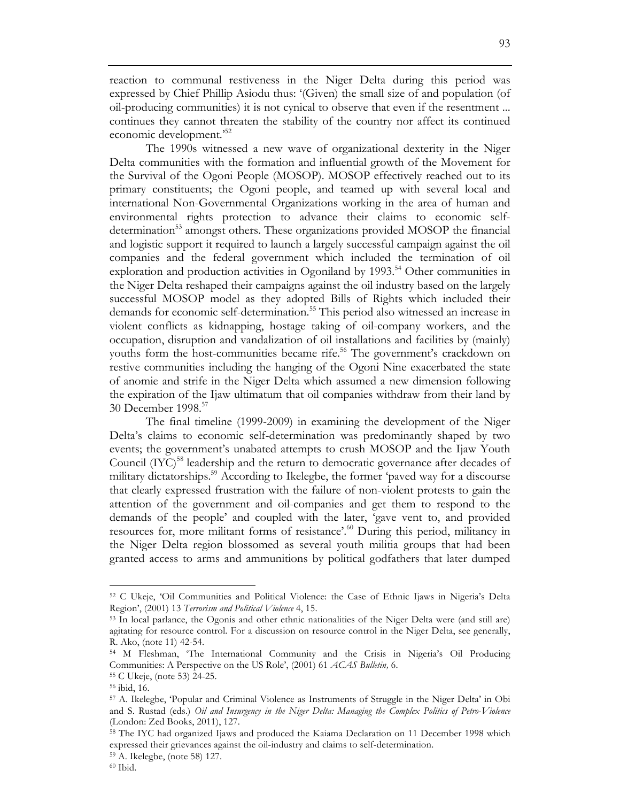reaction to communal restiveness in the Niger Delta during this period was expressed by Chief Phillip Asiodu thus: '(Given) the small size of and population (of oil-producing communities) it is not cynical to observe that even if the resentment ... continues they cannot threaten the stability of the country nor affect its continued economic development.'52

The 1990s witnessed a new wave of organizational dexterity in the Niger Delta communities with the formation and influential growth of the Movement for the Survival of the Ogoni People (MOSOP). MOSOP effectively reached out to its primary constituents; the Ogoni people, and teamed up with several local and international Non-Governmental Organizations working in the area of human and environmental rights protection to advance their claims to economic selfdetermination<sup>53</sup> amongst others. These organizations provided MOSOP the financial and logistic support it required to launch a largely successful campaign against the oil companies and the federal government which included the termination of oil exploration and production activities in Ogoniland by 1993.<sup>54</sup> Other communities in the Niger Delta reshaped their campaigns against the oil industry based on the largely successful MOSOP model as they adopted Bills of Rights which included their demands for economic self-determination.<sup>55</sup> This period also witnessed an increase in violent conflicts as kidnapping, hostage taking of oil-company workers, and the occupation, disruption and vandalization of oil installations and facilities by (mainly) youths form the host-communities became rife.<sup>56</sup> The government's crackdown on restive communities including the hanging of the Ogoni Nine exacerbated the state of anomie and strife in the Niger Delta which assumed a new dimension following the expiration of the Ijaw ultimatum that oil companies withdraw from their land by 30 December 1998.57

The final timeline (1999-2009) in examining the development of the Niger Delta's claims to economic self-determination was predominantly shaped by two events; the government's unabated attempts to crush MOSOP and the Ijaw Youth Council (IYC)<sup>58</sup> leadership and the return to democratic governance after decades of military dictatorships.<sup>59</sup> According to Ikelegbe, the former 'paved way for a discourse that clearly expressed frustration with the failure of non-violent protests to gain the attention of the government and oil-companies and get them to respond to the demands of the people' and coupled with the later, 'gave vent to, and provided resources for, more militant forms of resistance'.<sup>60</sup> During this period, militancy in the Niger Delta region blossomed as several youth militia groups that had been granted access to arms and ammunitions by political godfathers that later dumped

<sup>52</sup> C Ukeje, 'Oil Communities and Political Violence: the Case of Ethnic Ijaws in Nigeria's Delta Region', (2001) 13 *Terrorism and Political Violence* 4, 15.

<sup>53</sup> In local parlance, the Ogonis and other ethnic nationalities of the Niger Delta were (and still are) agitating for resource control. For a discussion on resource control in the Niger Delta, see generally, R. Ako, (note 11) 42-54.

<sup>54</sup> M Fleshman, 'The International Community and the Crisis in Nigeria's Oil Producing Communities: A Perspective on the US Role', (2001) 61 *ACAS Bulletin,* 6. 55 C Ukeje, (note 53) 24-25.

<sup>56</sup> ibid, 16.

<sup>57</sup> A. Ikelegbe, 'Popular and Criminal Violence as Instruments of Struggle in the Niger Delta' in Obi and S. Rustad (eds.) *Oil and Insurgency in the Niger Delta: Managing the Complex Politics of Petro-Violence* (London: Zed Books, 2011), 127.

<sup>58</sup> The IYC had organized Ijaws and produced the Kaiama Declaration on 11 December 1998 which expressed their grievances against the oil-industry and claims to self-determination. 59 A. Ikelegbe, (note 58) 127.

<sup>60</sup> Ibid.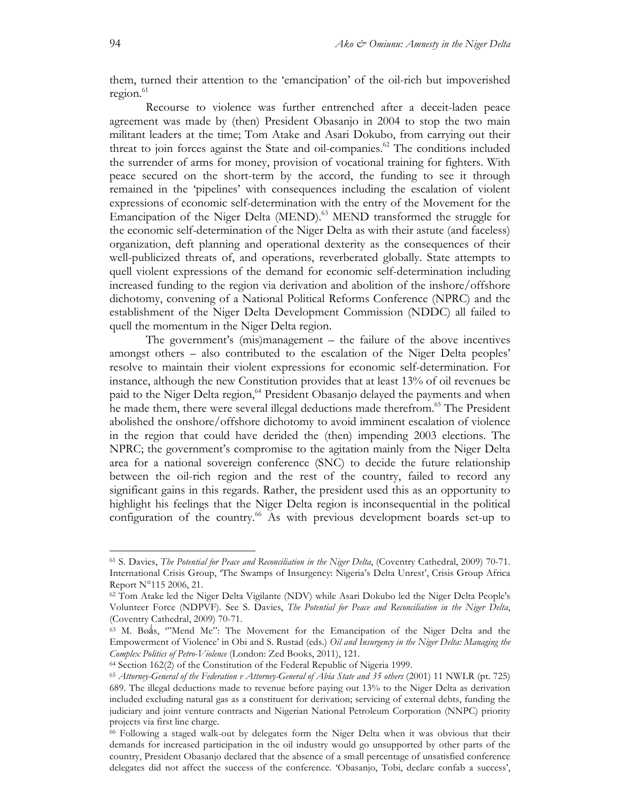them, turned their attention to the 'emancipation' of the oil-rich but impoverished  $region.<sup>61</sup>$ 

Recourse to violence was further entrenched after a deceit-laden peace agreement was made by (then) President Obasanjo in 2004 to stop the two main militant leaders at the time; Tom Atake and Asari Dokubo, from carrying out their threat to join forces against the State and oil-companies.<sup>62</sup> The conditions included the surrender of arms for money, provision of vocational training for fighters. With peace secured on the short-term by the accord, the funding to see it through remained in the 'pipelines' with consequences including the escalation of violent expressions of economic self-determination with the entry of the Movement for the Emancipation of the Niger Delta (MEND).<sup>63</sup> MEND transformed the struggle for the economic self-determination of the Niger Delta as with their astute (and faceless) organization, deft planning and operational dexterity as the consequences of their well-publicized threats of, and operations, reverberated globally. State attempts to quell violent expressions of the demand for economic self-determination including increased funding to the region via derivation and abolition of the inshore/offshore dichotomy, convening of a National Political Reforms Conference (NPRC) and the establishment of the Niger Delta Development Commission (NDDC) all failed to quell the momentum in the Niger Delta region.

The government's (mis)management – the failure of the above incentives amongst others – also contributed to the escalation of the Niger Delta peoples' resolve to maintain their violent expressions for economic self-determination. For instance, although the new Constitution provides that at least 13% of oil revenues be paid to the Niger Delta region,<sup>64</sup> President Obasanjo delayed the payments and when he made them, there were several illegal deductions made therefrom.<sup>65</sup> The President abolished the onshore/offshore dichotomy to avoid imminent escalation of violence in the region that could have derided the (then) impending 2003 elections. The NPRC; the government's compromise to the agitation mainly from the Niger Delta area for a national sovereign conference (SNC) to decide the future relationship between the oil-rich region and the rest of the country, failed to record any significant gains in this regards. Rather, the president used this as an opportunity to highlight his feelings that the Niger Delta region is inconsequential in the political configuration of the country.<sup>66</sup> As with previous development boards set-up to

<sup>61</sup> S. Davies, *The Potential for Peace and Reconciliation in the Niger Delta*, (Coventry Cathedral, 2009) 70-71. International Crisis Group, 'The Swamps of Insurgency: Nigeria's Delta Unrest', Crisis Group Africa Report N°115 2006, 21.

<sup>62</sup> Tom Atake led the Niger Delta Vigilante (NDV) while Asari Dokubo led the Niger Delta People's Volunteer Force (NDPVF). See S. Davies, *The Potential for Peace and Reconciliation in the Niger Delta*, (Coventry Cathedral, 2009) 70-71.

<sup>63</sup> M. Bøǻs, '"Mend Me": The Movement for the Emancipation of the Niger Delta and the Empowerment of Violence' in Obi and S. Rustad (eds.) *Oil and Insurgency in the Niger Delta: Managing the Complex Politics of Petro-Violence* (London: Zed Books, 2011), 121.

<sup>64</sup> Section 162(2) of the Constitution of the Federal Republic of Nigeria 1999.

<sup>65</sup> *Attorney-General of the Federation v Attorney-General of Abia State and 35 others* (2001) 11 NWLR (pt. 725) 689. The illegal deductions made to revenue before paying out 13% to the Niger Delta as derivation included excluding natural gas as a constituent for derivation; servicing of external debts, funding the judiciary and joint venture contracts and Nigerian National Petroleum Corporation (NNPC) priority projects via first line charge.

<sup>66</sup> Following a staged walk-out by delegates form the Niger Delta when it was obvious that their demands for increased participation in the oil industry would go unsupported by other parts of the country, President Obasanjo declared that the absence of a small percentage of unsatisfied conference delegates did not affect the success of the conference. 'Obasanjo, Tobi, declare confab a success',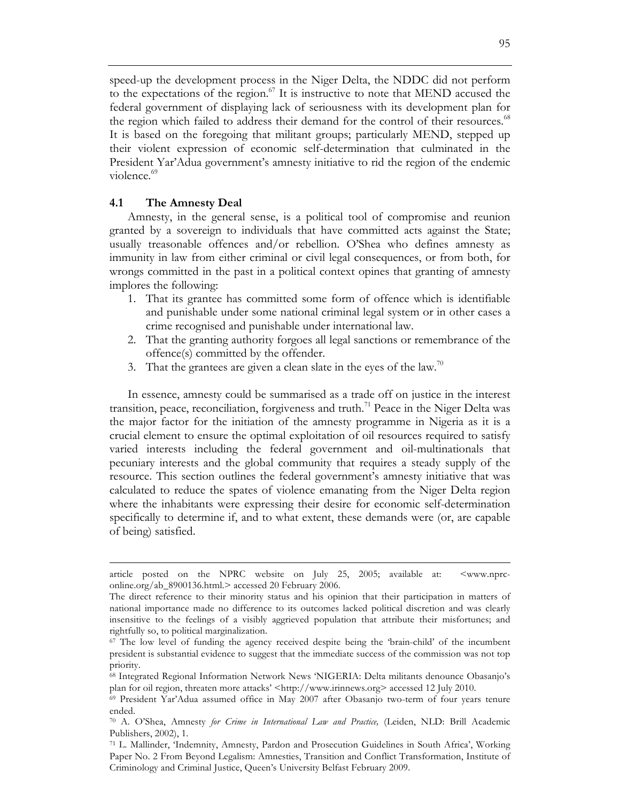speed-up the development process in the Niger Delta, the NDDC did not perform to the expectations of the region. $67$  It is instructive to note that MEND accused the federal government of displaying lack of seriousness with its development plan for the region which failed to address their demand for the control of their resources.<sup>68</sup> It is based on the foregoing that militant groups; particularly MEND, stepped up their violent expression of economic self-determination that culminated in the President Yar'Adua government's amnesty initiative to rid the region of the endemic violence.<sup>69</sup>

#### **4.1 The Amnesty Deal**

 $\overline{a}$ 

Amnesty, in the general sense, is a political tool of compromise and reunion granted by a sovereign to individuals that have committed acts against the State; usually treasonable offences and/or rebellion. O'Shea who defines amnesty as immunity in law from either criminal or civil legal consequences, or from both, for wrongs committed in the past in a political context opines that granting of amnesty implores the following:

- 1. That its grantee has committed some form of offence which is identifiable and punishable under some national criminal legal system or in other cases a crime recognised and punishable under international law.
- 2. That the granting authority forgoes all legal sanctions or remembrance of the offence(s) committed by the offender.
- 3. That the grantees are given a clean slate in the eyes of the law.<sup>70</sup>

In essence, amnesty could be summarised as a trade off on justice in the interest transition, peace, reconciliation, forgiveness and truth.<sup>71</sup> Peace in the Niger Delta was the major factor for the initiation of the amnesty programme in Nigeria as it is a crucial element to ensure the optimal exploitation of oil resources required to satisfy varied interests including the federal government and oil-multinationals that pecuniary interests and the global community that requires a steady supply of the resource. This section outlines the federal government's amnesty initiative that was calculated to reduce the spates of violence emanating from the Niger Delta region where the inhabitants were expressing their desire for economic self-determination specifically to determine if, and to what extent, these demands were (or, are capable of being) satisfied.

article posted on the NPRC website on July 25, 2005; available at: <www.nprconline.org/ab\_8900136.html.> accessed 20 February 2006.

The direct reference to their minority status and his opinion that their participation in matters of national importance made no difference to its outcomes lacked political discretion and was clearly insensitive to the feelings of a visibly aggrieved population that attribute their misfortunes; and rightfully so, to political marginalization.

<sup>67</sup> The low level of funding the agency received despite being the 'brain-child' of the incumbent president is substantial evidence to suggest that the immediate success of the commission was not top priority.

<sup>68</sup> Integrated Regional Information Network News 'NIGERIA: Delta militants denounce Obasanjo's plan for oil region, threaten more attacks' <http://www.irinnews.org> accessed 12 July 2010.<br><sup>69</sup> President Yar'Adua assumed office in May 2007 after Obasanjo two-term of four years tenure

ended.

<sup>70</sup> A. O'Shea, Amnesty *for Crime in International Law and Practice,* (Leiden, NLD: Brill Academic Publishers, 2002), 1.

<sup>71</sup> L. Mallinder, 'Indemnity, Amnesty, Pardon and Prosecution Guidelines in South Africa', Working Paper No. 2 From Beyond Legalism: Amnesties, Transition and Conflict Transformation, Institute of Criminology and Criminal Justice, Queen's University Belfast February 2009.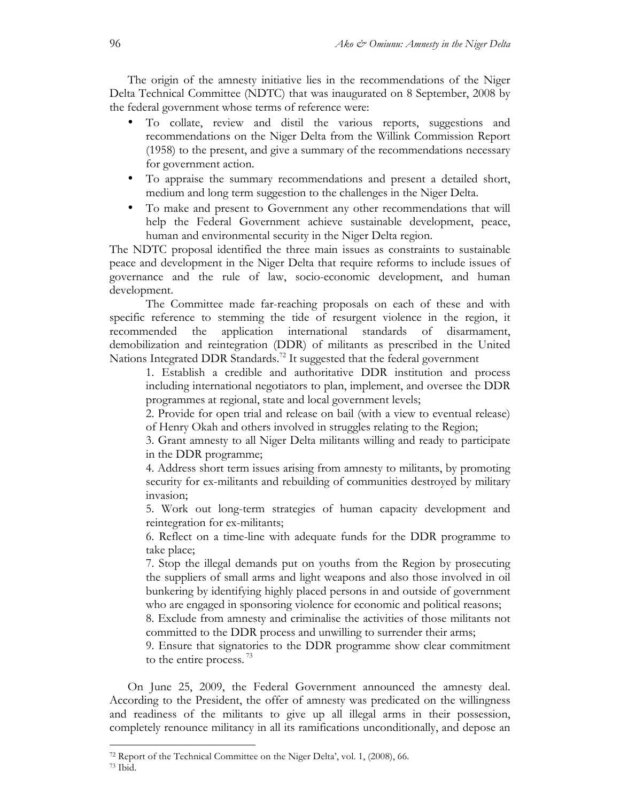The origin of the amnesty initiative lies in the recommendations of the Niger Delta Technical Committee (NDTC) that was inaugurated on 8 September, 2008 by the federal government whose terms of reference were:

- To collate, review and distil the various reports, suggestions and recommendations on the Niger Delta from the Willink Commission Report (1958) to the present, and give a summary of the recommendations necessary for government action.
- To appraise the summary recommendations and present a detailed short, medium and long term suggestion to the challenges in the Niger Delta.
- To make and present to Government any other recommendations that will help the Federal Government achieve sustainable development, peace, human and environmental security in the Niger Delta region.

The NDTC proposal identified the three main issues as constraints to sustainable peace and development in the Niger Delta that require reforms to include issues of governance and the rule of law, socio-economic development, and human development.

The Committee made far-reaching proposals on each of these and with specific reference to stemming the tide of resurgent violence in the region, it recommended the application international standards of disarmament, demobilization and reintegration (DDR) of militants as prescribed in the United Nations Integrated DDR Standards.<sup>72</sup> It suggested that the federal government

1. Establish a credible and authoritative DDR institution and process including international negotiators to plan, implement, and oversee the DDR programmes at regional, state and local government levels;

2. Provide for open trial and release on bail (with a view to eventual release) of Henry Okah and others involved in struggles relating to the Region;

3. Grant amnesty to all Niger Delta militants willing and ready to participate in the DDR programme;

4. Address short term issues arising from amnesty to militants, by promoting security for ex-militants and rebuilding of communities destroyed by military invasion;

5. Work out long-term strategies of human capacity development and reintegration for ex-militants;

6. Reflect on a time-line with adequate funds for the DDR programme to take place;

7. Stop the illegal demands put on youths from the Region by prosecuting the suppliers of small arms and light weapons and also those involved in oil bunkering by identifying highly placed persons in and outside of government who are engaged in sponsoring violence for economic and political reasons;

8. Exclude from amnesty and criminalise the activities of those militants not committed to the DDR process and unwilling to surrender their arms;

9. Ensure that signatories to the DDR programme show clear commitment to the entire process.<sup>73</sup>

On June 25, 2009, the Federal Government announced the amnesty deal. According to the President, the offer of amnesty was predicated on the willingness and readiness of the militants to give up all illegal arms in their possession, completely renounce militancy in all its ramifications unconditionally, and depose an

<sup>72</sup> Report of the Technical Committee on the Niger Delta', vol. 1, (2008), 66. <sup>73</sup> Ibid.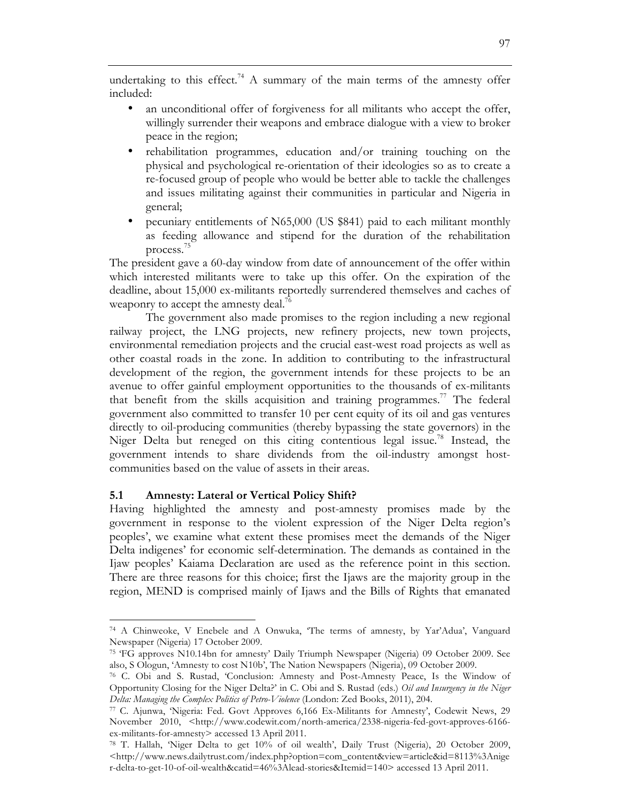undertaking to this effect.<sup>74</sup> A summary of the main terms of the amnesty offer included:

- an unconditional offer of forgiveness for all militants who accept the offer, willingly surrender their weapons and embrace dialogue with a view to broker peace in the region;
- rehabilitation programmes, education and/or training touching on the physical and psychological re-orientation of their ideologies so as to create a re-focused group of people who would be better able to tackle the challenges and issues militating against their communities in particular and Nigeria in general;
- pecuniary entitlements of N65,000 (US \$841) paid to each militant monthly as feeding allowance and stipend for the duration of the rehabilitation process.75

The president gave a 60-day window from date of announcement of the offer within which interested militants were to take up this offer. On the expiration of the deadline, about 15,000 ex-militants reportedly surrendered themselves and caches of weaponry to accept the amnesty deal.<sup>76</sup>

The government also made promises to the region including a new regional railway project, the LNG projects, new refinery projects, new town projects, environmental remediation projects and the crucial east-west road projects as well as other coastal roads in the zone. In addition to contributing to the infrastructural development of the region, the government intends for these projects to be an avenue to offer gainful employment opportunities to the thousands of ex-militants that benefit from the skills acquisition and training programmes.<sup>77</sup> The federal government also committed to transfer 10 per cent equity of its oil and gas ventures directly to oil-producing communities (thereby bypassing the state governors) in the Niger Delta but reneged on this citing contentious legal issue.<sup>78</sup> Instead, the government intends to share dividends from the oil-industry amongst hostcommunities based on the value of assets in their areas.

## **5.1 Amnesty: Lateral or Vertical Policy Shift?**

 $\overline{a}$ 

Having highlighted the amnesty and post-amnesty promises made by the government in response to the violent expression of the Niger Delta region's peoples', we examine what extent these promises meet the demands of the Niger Delta indigenes' for economic self-determination. The demands as contained in the Ijaw peoples' Kaiama Declaration are used as the reference point in this section. There are three reasons for this choice; first the Ijaws are the majority group in the region, MEND is comprised mainly of Ijaws and the Bills of Rights that emanated

<sup>74</sup> A Chinweoke, V Enebele and A Onwuka, 'The terms of amnesty, by Yar'Adua', Vanguard Newspaper (Nigeria) 17 October 2009. 75 'FG approves N10.14bn for amnesty' Daily Triumph Newspaper (Nigeria) 09 October 2009. See

also, S Ologun, 'Amnesty to cost N10b', The Nation Newspapers (Nigeria), 09 October 2009.

<sup>76</sup> C. Obi and S. Rustad, 'Conclusion: Amnesty and Post-Amnesty Peace, Is the Window of Opportunity Closing for the Niger Delta?' in C. Obi and S. Rustad (eds.) *Oil and Insurgency in the Niger Delta: Managing the Complex Politics of Petro-Violence* (London: Zed Books, 2011), 204.<br><sup>77</sup> C. Ajunwa, 'Nigeria: Fed. Govt Approves 6,166 Ex-Militants for Amnesty', Codewit News, 29

November 2010, <http://www.codewit.com/north-america/2338-nigeria-fed-govt-approves-6166ex-militants-for-amnesty> accessed 13 April 2011.

<sup>78</sup> T. Hallah, 'Niger Delta to get 10% of oil wealth', Daily Trust (Nigeria), 20 October 2009, <http://www.news.dailytrust.com/index.php?option=com\_content&view=article&id=8113%3Anige r-delta-to-get-10-of-oil-wealth&catid=46%3Alead-stories&Itemid=140> accessed 13 April 2011.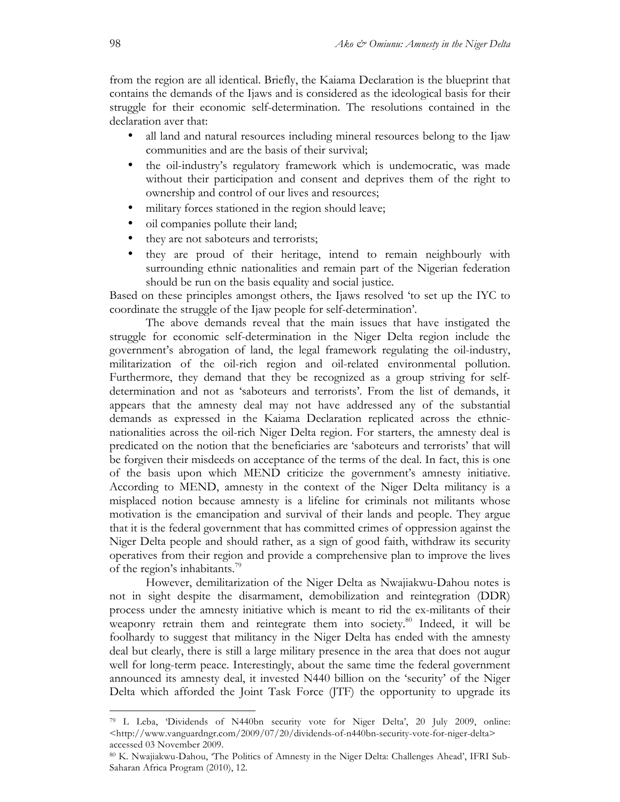from the region are all identical. Briefly, the Kaiama Declaration is the blueprint that contains the demands of the Ijaws and is considered as the ideological basis for their struggle for their economic self-determination. The resolutions contained in the declaration aver that:

- all land and natural resources including mineral resources belong to the Ijaw communities and are the basis of their survival;
- the oil-industry's regulatory framework which is undemocratic, was made without their participation and consent and deprives them of the right to ownership and control of our lives and resources;
- military forces stationed in the region should leave;
- oil companies pollute their land;
- they are not saboteurs and terrorists;
- they are proud of their heritage, intend to remain neighbourly with surrounding ethnic nationalities and remain part of the Nigerian federation should be run on the basis equality and social justice.

Based on these principles amongst others, the Ijaws resolved 'to set up the IYC to coordinate the struggle of the Ijaw people for self-determination'.

The above demands reveal that the main issues that have instigated the struggle for economic self-determination in the Niger Delta region include the government's abrogation of land, the legal framework regulating the oil-industry, militarization of the oil-rich region and oil-related environmental pollution. Furthermore, they demand that they be recognized as a group striving for selfdetermination and not as 'saboteurs and terrorists'. From the list of demands, it appears that the amnesty deal may not have addressed any of the substantial demands as expressed in the Kaiama Declaration replicated across the ethnicnationalities across the oil-rich Niger Delta region. For starters, the amnesty deal is predicated on the notion that the beneficiaries are 'saboteurs and terrorists' that will be forgiven their misdeeds on acceptance of the terms of the deal. In fact, this is one of the basis upon which MEND criticize the government's amnesty initiative. According to MEND, amnesty in the context of the Niger Delta militancy is a misplaced notion because amnesty is a lifeline for criminals not militants whose motivation is the emancipation and survival of their lands and people. They argue that it is the federal government that has committed crimes of oppression against the Niger Delta people and should rather, as a sign of good faith, withdraw its security operatives from their region and provide a comprehensive plan to improve the lives of the region's inhabitants.79

However, demilitarization of the Niger Delta as Nwajiakwu-Dahou notes is not in sight despite the disarmament, demobilization and reintegration (DDR) process under the amnesty initiative which is meant to rid the ex-militants of their weaponry retrain them and reintegrate them into society.<sup>80</sup> Indeed, it will be foolhardy to suggest that militancy in the Niger Delta has ended with the amnesty deal but clearly, there is still a large military presence in the area that does not augur well for long-term peace. Interestingly, about the same time the federal government announced its amnesty deal, it invested N440 billion on the 'security' of the Niger Delta which afforded the Joint Task Force (JTF) the opportunity to upgrade its

<sup>79</sup> L Leba, 'Dividends of N440bn security vote for Niger Delta', 20 July 2009, online: <http://www.vanguardngr.com/2009/07/20/dividends-of-n440bn-security-vote-for-niger-delta> accessed 03 November 2009.

<sup>80</sup> K. Nwajiakwu-Dahou, 'The Politics of Amnesty in the Niger Delta: Challenges Ahead', IFRI Sub-Saharan Africa Program (2010), 12.